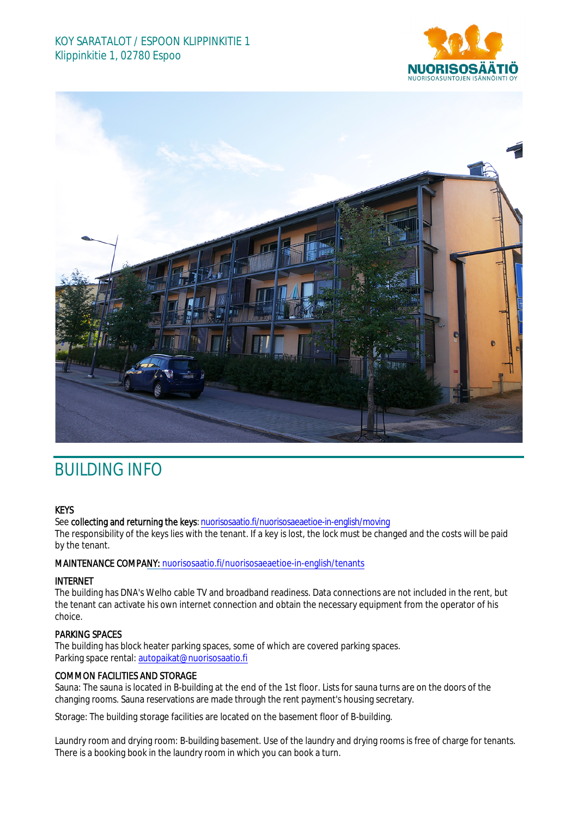## KOY SARATALOT / ESPOON KLIPPINKITIE 1 Klippinkitie 1, 02780 Espoo





# BUILDING INFO

#### **KEYS**

See collecting and returning the keys: n[uorisosaatio.fi/nuorisosaeaetioe](http://www.nuorisosaatio.fi/muuttajalle)-in-english/moving

The responsibility of the keys lies with the tenant. If a key is lost, the lock must be changed and the costs will be paid by the tenant.

MAINTENANCE COMPANY: [nuorisosaatio.fi/nuoriso](http://www.nuorisosaatio.fi/asukkaalle)saeaetioe-in-english/tenants

#### INTERNET

The building has DNA's Welho cable TV and broadband readiness. Data connections are not included in the rent, but the tenant can activate his own internet connection and obtain the necessary equipment from the operator of his choice.

### PARKING SPACES

The building has block heater parking spaces, some of which are covered parking spaces. Parking space rental: autopaikat@nuorisosaatio.fi

#### COMMON FACILITIES AND STORAGE

Sauna: The sauna is located in B-building at the end of the 1st floor. Lists for sauna turns are on the doors of the changing rooms. Sauna reservations are made through the rent payment's housing secretary.

Storage: The building storage facilities are located on the basement floor of B-building.

Laundry room and drying room: B-building basement. Use of the laundry and drying rooms is free of charge for tenants. There is a booking book in the laundry room in which you can book a turn.